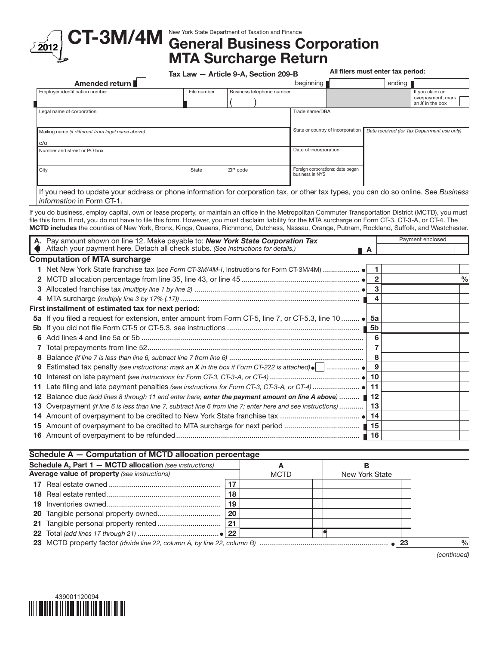

## CT-3M/4M New York State Department of Taxation and Finance Corporation MTA Surcharge Return

|                                                   | Tax Law - Article 9-A, Section 209-B |                           |                                                     |  | All filers must enter tax period: |          |                                                           |  |  |
|---------------------------------------------------|--------------------------------------|---------------------------|-----------------------------------------------------|--|-----------------------------------|----------|-----------------------------------------------------------|--|--|
| Amended return                                    |                                      |                           | beginning                                           |  |                                   | ending ' |                                                           |  |  |
| Employer identification number                    | File number                          | Business telephone number |                                                     |  |                                   |          | If you claim an<br>overpayment, mark<br>an $X$ in the box |  |  |
| Legal name of corporation                         |                                      |                           | Trade name/DBA                                      |  |                                   |          |                                                           |  |  |
| Mailing name (if different from legal name above) |                                      |                           | State or country of incorporation                   |  |                                   |          | Date received (for Tax Department use only)               |  |  |
| c/o                                               |                                      |                           |                                                     |  |                                   |          |                                                           |  |  |
| Number and street or PO box                       |                                      |                           | Date of incorporation                               |  |                                   |          |                                                           |  |  |
| City                                              | State                                | ZIP code                  | Foreign corporations: date began<br>business in NYS |  |                                   |          |                                                           |  |  |

If you need to update your address or phone information for corporation tax, or other tax types, you can do so online. See *Business information* in Form CT-1.

If you do business, employ capital, own or lease property, or maintain an office in the Metropolitan Commuter Transportation District (MCTD), you must file this form. If not, you do not have to file this form. However, you must disclaim liability for the MTA surcharge on Form CT-3, CT-3-A, or CT-4. The MCTD includes the counties of New York, Bronx, Kings, Queens, Richmond, Dutchess, Nassau, Orange, Putnam, Rockland, Suffolk, and Westchester.

|     | Pay amount shown on line 12. Make payable to: New York State Corporation Tax                               |              |  |               |
|-----|------------------------------------------------------------------------------------------------------------|--------------|--|---------------|
|     | Attach your payment here. Detach all check stubs. (See instructions for details.)                          | A            |  |               |
|     | <b>Computation of MTA surcharge</b>                                                                        |              |  |               |
|     |                                                                                                            |              |  |               |
|     |                                                                                                            | $\mathbf{2}$ |  | $\frac{0}{0}$ |
| 3   |                                                                                                            | 3            |  |               |
|     |                                                                                                            | 4            |  |               |
|     | First installment of estimated tax for next period:                                                        |              |  |               |
|     | 5a If you filed a request for extension, enter amount from Form CT-5, line 7, or CT-5.3, line 10  • 5a     |              |  |               |
| 5b. |                                                                                                            | 5b           |  |               |
| 6   |                                                                                                            | 6            |  |               |
|     |                                                                                                            |              |  |               |
| 8   |                                                                                                            | 8            |  |               |
| 9   | Estimated tax penalty (see instructions; mark an <b>X</b> in the box if Form CT-222 is attached) $\bullet$ | 9            |  |               |
| 10  |                                                                                                            |              |  |               |
| 11  |                                                                                                            |              |  |               |
|     | Balance due (add lines 8 through 11 and enter here; enter the payment amount on line A above)  ■ 12        |              |  |               |
|     | Overpayment (if line 6 is less than line 7, subtract line 6 from line 7; enter here and see instructions)  | 13           |  |               |
| 14  |                                                                                                            |              |  |               |
| 15  |                                                                                                            | 15           |  |               |
| 16  |                                                                                                            | ∥ 16         |  |               |

| <b>Schedule A, Part 1 - MCTD allocation</b> (see instructions)<br><b>Average value of property</b> (see instructions) |    |             |                |  |  |               |
|-----------------------------------------------------------------------------------------------------------------------|----|-------------|----------------|--|--|---------------|
|                                                                                                                       |    | <b>MCTD</b> | New York State |  |  |               |
|                                                                                                                       | 17 |             |                |  |  |               |
|                                                                                                                       | 18 |             |                |  |  |               |
|                                                                                                                       | 19 |             |                |  |  |               |
| 20 Tangible personal property owned                                                                                   | 20 |             |                |  |  |               |
|                                                                                                                       | 21 |             |                |  |  |               |
|                                                                                                                       |    |             |                |  |  |               |
|                                                                                                                       |    |             |                |  |  | $\frac{0}{0}$ |

*(continued)*